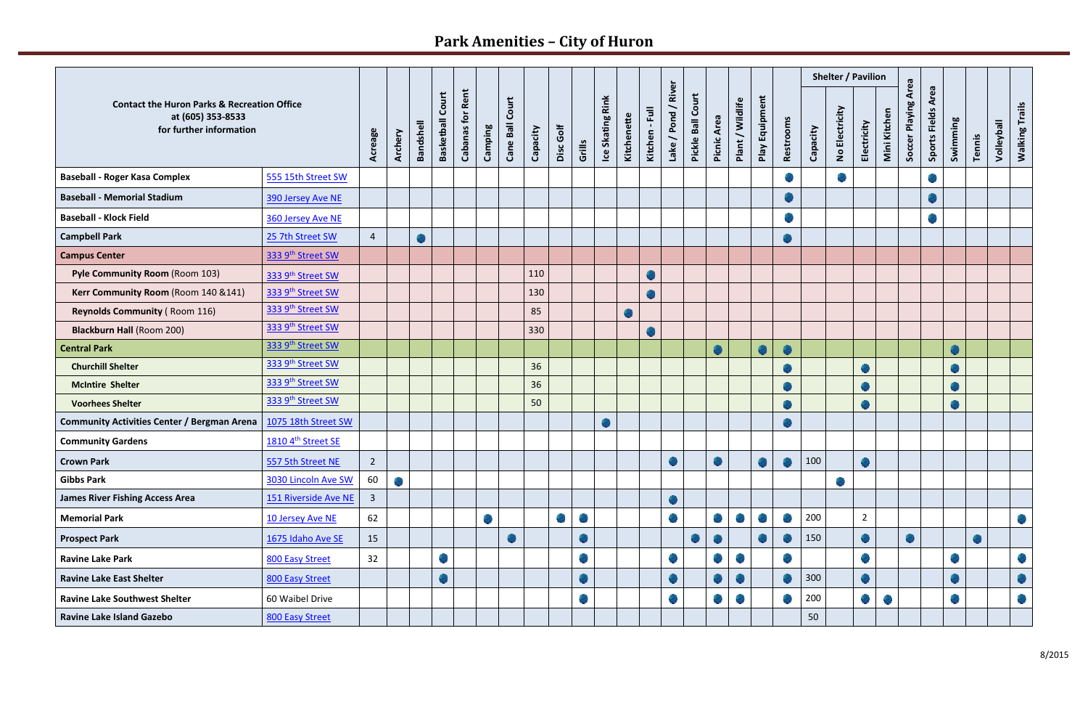## **Park Amenities – City of Huron**

|                                                                                                        |                      |                |         |                  |                            |                            |         |                    |          |               |                             |                  |             |                |                             |                   |             |                          |                |                             |          | Shelter / Pavilion          |                             |              |                            |                       |           |           |            |                             |
|--------------------------------------------------------------------------------------------------------|----------------------|----------------|---------|------------------|----------------------------|----------------------------|---------|--------------------|----------|---------------|-----------------------------|------------------|-------------|----------------|-----------------------------|-------------------|-------------|--------------------------|----------------|-----------------------------|----------|-----------------------------|-----------------------------|--------------|----------------------------|-----------------------|-----------|-----------|------------|-----------------------------|
| <b>Contact the Huron Parks &amp; Recreation Office</b><br>at (605) 353-8533<br>for further information |                      |                | Archery | <b>Bandshell</b> | Court<br><b>Basketball</b> | Rent<br><b>Cabanas for</b> | Camping | Court<br>Cane Ball | Capacity | Disc Golf     | Grills                      | Ice Skating Rink | Kitchenette | Kitchen - Full | River<br>╮<br>Lake / Pond   | Pickle Ball Court | Picnic Area | <b>Wildlife</b><br>Plant | Play Equipment | Restrooms                   | Capacity | No Electricity              | Electricity                 | Mini Kitchen | <b>Soccer Playing Area</b> | Area<br>Sports Fields | Swimming  | Tennis    | Volleyball | <b>Walking Trails</b>       |
| <b>Baseball - Roger Kasa Complex</b>                                                                   | 555 15th Street SW   |                |         |                  |                            |                            |         |                    |          |               |                             |                  |             |                |                             |                   |             |                          |                | $\mathcal{L}$               |          | $\mathcal{L}_{\mathcal{S}}$ |                             |              |                            |                       |           |           |            |                             |
| <b>Baseball - Memorial Stadium</b>                                                                     | 390 Jersey Ave NE    |                |         |                  |                            |                            |         |                    |          |               |                             |                  |             |                |                             |                   |             |                          |                | o.                          |          |                             |                             |              |                            |                       |           |           |            |                             |
| <b>Baseball - Klock Field</b>                                                                          | 360 Jersey Ave NE    |                |         |                  |                            |                            |         |                    |          |               |                             |                  |             |                |                             |                   |             |                          |                |                             |          |                             |                             |              |                            |                       |           |           |            |                             |
| <b>Campbell Park</b>                                                                                   | 25 7th Street SW     | $\overline{4}$ |         |                  |                            |                            |         |                    |          |               |                             |                  |             |                |                             |                   |             |                          |                |                             |          |                             |                             |              |                            |                       |           |           |            |                             |
| <b>Campus Center</b>                                                                                   | 333 9th Street SW    |                |         |                  |                            |                            |         |                    |          |               |                             |                  |             |                |                             |                   |             |                          |                |                             |          |                             |                             |              |                            |                       |           |           |            |                             |
| Pyle Community Room (Room 103)                                                                         | 333 9th Street SW    |                |         |                  |                            |                            |         |                    | 110      |               |                             |                  |             |                |                             |                   |             |                          |                |                             |          |                             |                             |              |                            |                       |           |           |            |                             |
| Kerr Community Room (Room 140 &141)                                                                    | 333 9th Street SW    |                |         |                  |                            |                            |         |                    | 130      |               |                             |                  |             |                |                             |                   |             |                          |                |                             |          |                             |                             |              |                            |                       |           |           |            |                             |
| <b>Reynolds Community (Room 116)</b>                                                                   | 333 9th Street SW    |                |         |                  |                            |                            |         |                    | 85       |               |                             |                  |             |                |                             |                   |             |                          |                |                             |          |                             |                             |              |                            |                       |           |           |            |                             |
| <b>Blackburn Hall (Room 200)</b>                                                                       | 333 9th Street SW    |                |         |                  |                            |                            |         |                    | 330      |               |                             |                  |             |                |                             |                   |             |                          |                |                             |          |                             |                             |              |                            |                       |           |           |            |                             |
| <b>Central Park</b>                                                                                    | 333 9th Street SW    |                |         |                  |                            |                            |         |                    |          |               |                             |                  |             |                |                             |                   |             |                          |                | o                           |          |                             |                             |              |                            |                       | $\bullet$ |           |            |                             |
| <b>Churchill Shelter</b>                                                                               | 333 9th Street SW    |                |         |                  |                            |                            |         |                    | 36       |               |                             |                  |             |                |                             |                   |             |                          |                |                             |          |                             |                             |              |                            |                       |           |           |            |                             |
| <b>McIntire Shelter</b>                                                                                | 333 9th Street SW    |                |         |                  |                            |                            |         |                    | 36       |               |                             |                  |             |                |                             |                   |             |                          |                |                             |          |                             | ۵                           |              |                            |                       |           |           |            |                             |
| <b>Voorhees Shelter</b>                                                                                | 333 9th Street SW    |                |         |                  |                            |                            |         |                    | 50       |               |                             |                  |             |                |                             |                   |             |                          |                |                             |          |                             | $\bullet$                   |              |                            |                       | ۰         |           |            |                             |
| <b>Community Activities Center / Bergman Arena</b>                                                     | 1075 18th Street SW  |                |         |                  |                            |                            |         |                    |          |               |                             |                  |             |                |                             |                   |             |                          |                | ۰                           |          |                             |                             |              |                            |                       |           |           |            |                             |
| <b>Community Gardens</b>                                                                               | 1810 4th Street SE   |                |         |                  |                            |                            |         |                    |          |               |                             |                  |             |                |                             |                   |             |                          |                |                             |          |                             |                             |              |                            |                       |           |           |            |                             |
| <b>Crown Park</b>                                                                                      | 557 5th Street NE    | $\overline{2}$ |         |                  |                            |                            |         |                    |          |               |                             |                  |             |                |                             |                   |             |                          | dia.           | $\mathcal{L}_{\mathcal{D}}$ | 100      |                             |                             |              |                            |                       |           |           |            |                             |
| <b>Gibbs Park</b>                                                                                      | 3030 Lincoln Ave SW  | 60             |         |                  |                            |                            |         |                    |          |               |                             |                  |             |                |                             |                   |             |                          |                |                             |          |                             |                             |              |                            |                       |           |           |            |                             |
| <b>James River Fishing Access Area</b>                                                                 | 151 Riverside Ave NE | $\overline{3}$ |         |                  |                            |                            |         |                    |          |               |                             |                  |             |                | $\mathcal{L}$               |                   |             |                          |                |                             |          |                             |                             |              |                            |                       |           |           |            |                             |
| <b>Memorial Park</b>                                                                                   | 10 Jersey Ave NE     | 62             |         |                  |                            |                            |         |                    |          | $\frac{1}{2}$ | $\frac{1}{2}$               |                  |             |                | $\mathcal{L}_{\mathcal{A}}$ |                   |             |                          |                | $\mathcal{L}_{\text{c}}$    | 200      |                             | $\overline{2}$              |              |                            |                       |           |           |            | $\mathcal{L}_{\mathcal{A}}$ |
| <b>Prospect Park</b>                                                                                   | 1675 Idaho Ave SE    | 15             |         |                  |                            |                            |         | <b>CONTRACT</b>    |          |               | $\mathcal{L}$               |                  |             |                |                             |                   |             |                          |                |                             | 150      |                             | $\bullet$                   |              |                            |                       |           | $\bullet$ |            |                             |
| <b>Ravine Lake Park</b>                                                                                | 800 Easy Street      | 32             |         |                  |                            |                            |         |                    |          |               | $\mathcal{L}_{\mathcal{A}}$ |                  |             |                |                             |                   |             |                          |                |                             |          |                             |                             |              |                            |                       |           |           |            | $\mathcal{L}_{\mathcal{A}}$ |
| <b>Ravine Lake East Shelter</b>                                                                        | 800 Easy Street      |                |         |                  |                            |                            |         |                    |          |               | $\bullet$                   |                  |             |                |                             |                   |             |                          |                |                             | 300      |                             | $\bullet$                   |              |                            |                       |           |           |            | $\mathcal{L}$               |
| <b>Ravine Lake Southwest Shelter</b>                                                                   | 60 Waibel Drive      |                |         |                  |                            |                            |         |                    |          |               | $\frac{1}{2}$               |                  |             |                |                             |                   |             |                          |                | o                           | 200      |                             | $\mathcal{L}_{\mathcal{A}}$ |              |                            |                       |           |           |            | $\mathcal{L}_{\mathcal{A}}$ |
| <b>Ravine Lake Island Gazebo</b>                                                                       | 800 Easy Street      |                |         |                  |                            |                            |         |                    |          |               |                             |                  |             |                |                             |                   |             |                          |                |                             | 50       |                             |                             |              |                            |                       |           |           |            |                             |